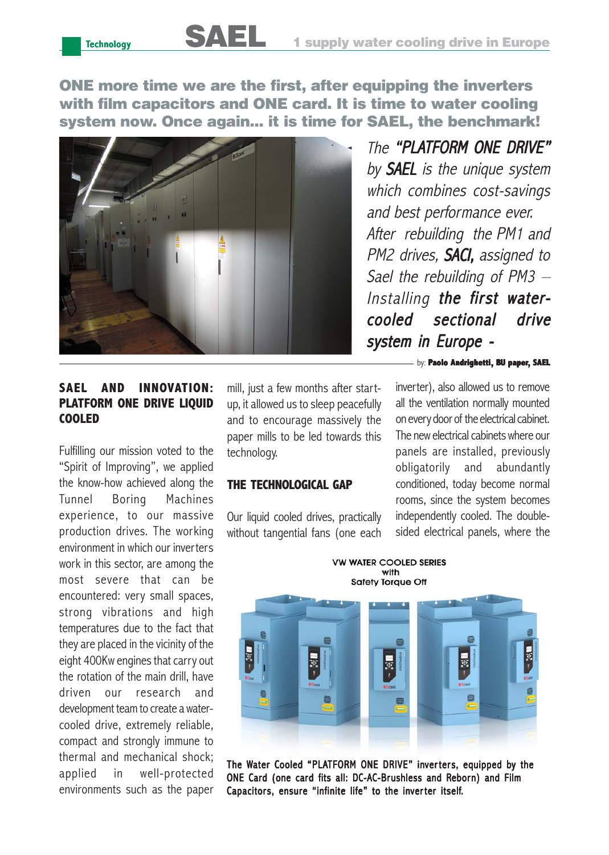ONE more time we are the first, after equipping the inverters with film capacitors and ONE card. It is time to water cooling system now. Once again... it is time for SAEL, the benchmark!



The "PI ATFORM ONF DRIVE" by **SAEL** is the unique system which combines cost-savings and best performance ever. After rebuilding the PM1 and PM2 drives, **SACI,** assigned to Sael the rebuilding of PM3 – Installing **the first water**cooled sectional drive system in Europe -

## by: **Paolo Andrighetti, BU paper, SAEL**

inverter), also allowed us to remove all the ventilation normally mounted on every door of the electrical cabinet. The new electrical cabinets where our panels are installed, previously obligatorily and abundantly conditioned, today become normal rooms, since the system becomes independently cooled. The doublesided electrical panels, where the

## **SAEL AND INNOVATION: PLATFORM ONE DRIVE LIQUID COOLED**

Fulfilling our mission voted to the "Spirit of Improving", we applied the know-how achieved along the Tunnel Boring Machines experience, to our massive production drives. The working environment in which our inverters work in this sector, are among the most severe that can be encountered: very small spaces, strong vibrations and high temperatures due to the fact that they are placed in the vicinity of the eight 400Kw engines that carry out the rotation of the main drill, have driven our research and development team to create a watercooled drive, extremely reliable, compact and strongly immune to thermal and mechanical shock; applied in well-protected environments such as the paper

mill, just a few months after startup, it allowed us to sleep peacefully and to encourage massively the paper mills to be led towards this technology.

## **THE TECHNOLOGICAL GAP**

Our liquid cooled drives, practically without tangential fans (one each



**VW WATER COOLED SERIES** with

The Water Cooled "PLATFORM ONE DRIVE" inverters, equipped by the ONE Card (one card fits all: DC-AC-Brushless and Reborn) and Film Capacitors, ensure "infinite life" to the inverter itself.

**Technology**